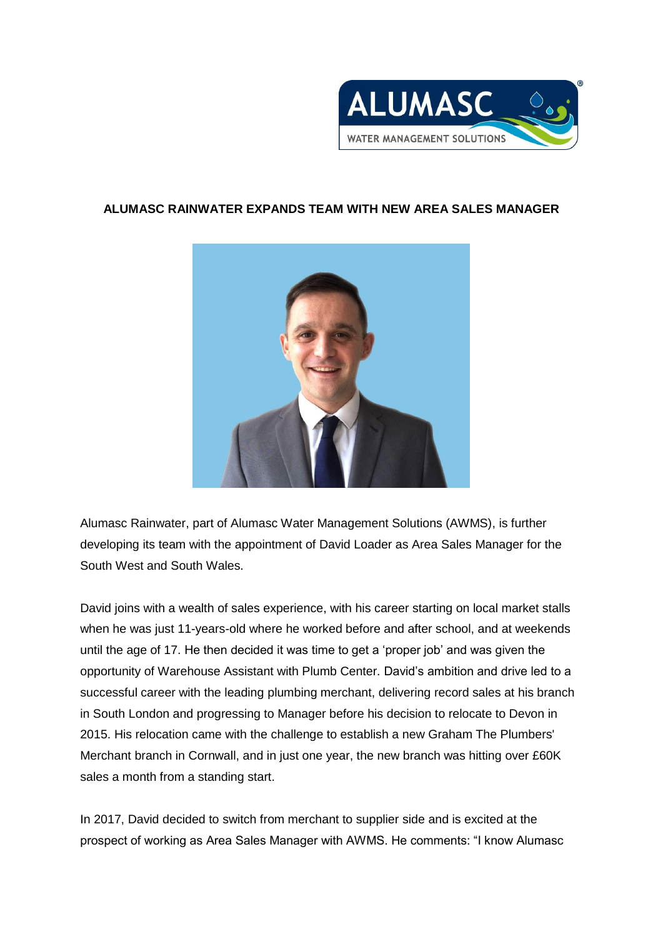

## **ALUMASC RAINWATER EXPANDS TEAM WITH NEW AREA SALES MANAGER**



Alumasc Rainwater, part of Alumasc Water Management Solutions (AWMS), is further developing its team with the appointment of David Loader as Area Sales Manager for the South West and South Wales.

David joins with a wealth of sales experience, with his career starting on local market stalls when he was just 11-years-old where he worked before and after school, and at weekends until the age of 17. He then decided it was time to get a 'proper job' and was given the opportunity of Warehouse Assistant with Plumb Center. David's ambition and drive led to a successful career with the leading plumbing merchant, delivering record sales at his branch in South London and progressing to Manager before his decision to relocate to Devon in 2015. His relocation came with the challenge to establish a new Graham The Plumbers' Merchant branch in Cornwall, and in just one year, the new branch was hitting over £60K sales a month from a standing start.

In 2017, David decided to switch from merchant to supplier side and is excited at the prospect of working as Area Sales Manager with AWMS. He comments: "I know Alumasc